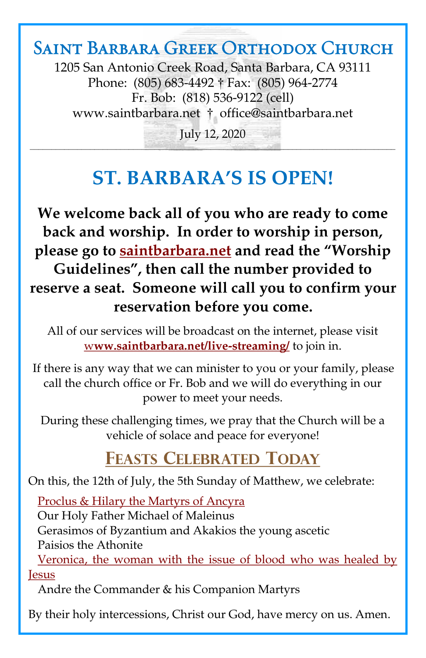## Saint Barbara Greek Orthodox Church

1205 San Antonio Creek Road, Santa Barbara, CA 93111 Phone: (805) 683-4492 † Fax: (805) 964-2774 Fr. Bob: (818) 536-9122 (cell) [www.saintbarbara.net](http://www.saintbarbara.net) † [office@saintbarbara.net](mailto:office@saintbarbara.net)

July 12, 2020  $\frac{1}{2}$  and  $\frac{1}{2}$  and  $\frac{1}{2}$  and  $\frac{1}{2}$  and  $\frac{1}{2}$  and  $\frac{1}{2}$  and  $\frac{1}{2}$  and  $\frac{1}{2}$  and  $\frac{1}{2}$  and  $\frac{1}{2}$  and  $\frac{1}{2}$  and  $\frac{1}{2}$ 

# **ST. BARBARA'S IS OPEN!**

**We welcome back all of you who are ready to come back and worship. In order to worship in person, please go to [saintbarbara.net](http://www.saintbarbara.net) and read the "Worship Guidelines", then call the number provided to reserve a seat. Someone will call you to confirm your reservation before you come.**

All of our services will be broadcast on the internet, please visit w**[ww.saintbarbara.net/live-streaming/](http://www.saintbarbara.net/live-streaming/)** to join in.

If there is any way that we can minister to you or your family, please call the church office or Fr. Bob and we will do everything in our power to meet your needs.

During these challenging times, we pray that the Church will be a vehicle of solace and peace for everyone!

## **FEASTS CELEBRATED TODAY**

On this, the 12th of July, the 5th Sunday of Matthew, we celebrate:

[Proclus & Hilary the Martyrs of Ancyra](http://www.goarch.org/chapel/saints?contentid=124) Our Holy Father Michael of Maleinus Gerasimos of Byzantium and Akakios the young ascetic Paisios the Athonite

[Veronica, the woman with the issue of blood who was healed by](http://www.goarch.org/chapel/saints?contentid=507)  *<u>Iesus</u>* 

Andre the Commander & his Companion Martyrs

By their holy intercessions, Christ our God, have mercy on us. Amen.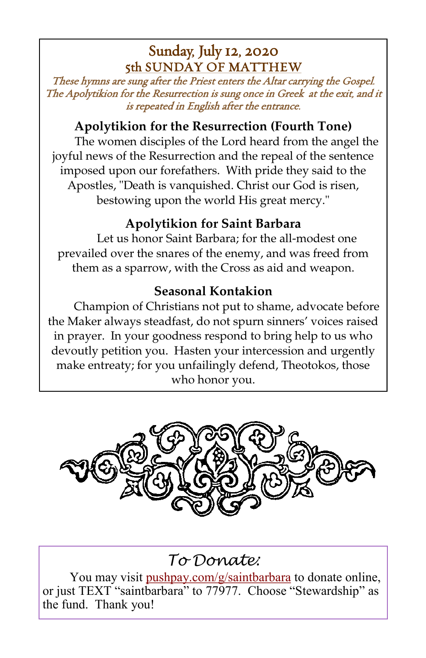### Sunday, July 12, 2020 5th SUNDAY OF MATTHEW

These hymns are sung after the Priest enters the Altar carrying the Gospel. The Apolytikion for the Resurrection is sung once in Greek at the exit, and it is repeated in English after the entrance.

#### **Apolytikion for the Resurrection (Fourth Tone)**

The women disciples of the Lord heard from the angel the joyful news of the Resurrection and the repeal of the sentence imposed upon our forefathers. With pride they said to the Apostles, "Death is vanquished. Christ our God is risen, bestowing upon the world His great mercy."

### **Apolytikion for Saint Barbara**

Let us honor Saint Barbara; for the all-modest one prevailed over the snares of the enemy, and was freed from them as a sparrow, with the Cross as aid and weapon.

#### **Seasonal Kontakion**

Champion of Christians not put to shame, advocate before the Maker always steadfast, do not spurn sinners' voices raised in prayer. In your goodness respond to bring help to us who devoutly petition you. Hasten your intercession and urgently make entreaty; for you unfailingly defend, Theotokos, those who honor you.



### *To Donate:*

You may visit <pushpay.com/g/saintbarbara> to donate online, or just TEXT "saintbarbara" to 77977. Choose "Stewardship" as the fund. Thank you!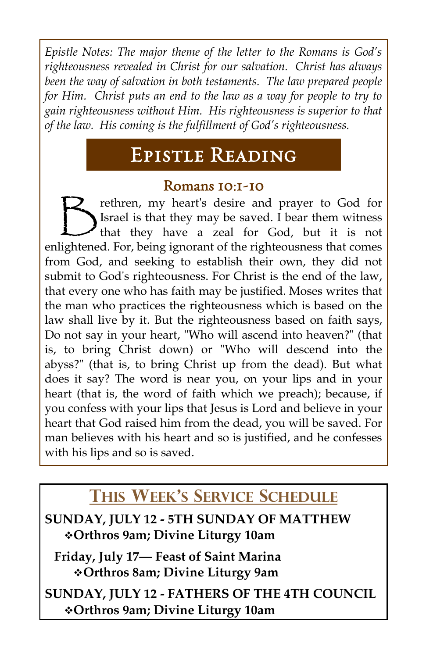*Epistle Notes: The major theme of the letter to the Romans is God's righteousness revealed in Christ for our salvation. Christ has always been the way of salvation in both testaments. The law prepared people for Him. Christ puts an end to the law as a way for people to try to gain righteousness without Him. His righteousness is superior to that of the law. His coming is the fulfillment of God's righteousness.*

# Epistle Reading

#### Romans 10:1-10

 $\bigtriangledown$ rethren, my heart's desire and prayer to God for Israel is that they may be saved. I bear them witness that they have a zeal for God, but it is not enlightened. For, being ignorant of the righteousness that comes from God, and seeking to establish their own, they did not submit to God's righteousness. For Christ is the end of the law, that every one who has faith may be justified. Moses writes that the man who practices the righteousness which is based on the law shall live by it. But the righteousness based on faith says, Do not say in your heart, "Who will ascend into heaven?" (that is, to bring Christ down) or "Who will descend into the abyss?" (that is, to bring Christ up from the dead). But what does it say? The word is near you, on your lips and in your heart (that is, the word of faith which we preach); because, if you confess with your lips that Jesus is Lord and believe in your heart that God raised him from the dead, you will be saved. For man believes with his heart and so is justified, and he confesses with his lips and so is saved.

### **THIS WEEK'S SERVICE SCHEDULE**

**SUNDAY, JULY 12 - 5TH SUNDAY OF MATTHEW** ❖**Orthros 9am; Divine Liturgy 10am**

**Friday, July 17— Feast of Saint Marina** ❖**Orthros 8am; Divine Liturgy 9am**

**SUNDAY, JULY 12 - FATHERS OF THE 4TH COUNCIL** ❖**Orthros 9am; Divine Liturgy 10am**